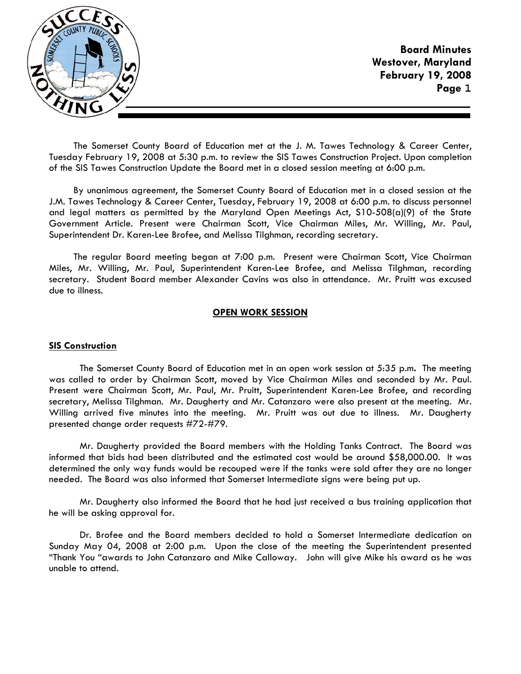

The Somerset County Board of Education met at the J. M. Tawes Technology & Career Center, Tuesday February 19, 2008 at 5:30 p.m. to review the SIS Tawes Construction Project. Upon completion of the SIS Tawes Construction Update the Board met in a closed session meeting at 6:00 p.m.

By unanimous agreement, the Somerset County Board of Education met in a closed session at the J.M. Tawes Technology & Career Center, Tuesday, February 19, 2008 at 6:00 p.m. to discuss personnel and legal matters as permitted by the Maryland Open Meetings Act, S10-508(a)(9) of the State Government Article. Present were Chairman Scott, Vice Chairman Miles, Mr. Willing, Mr. Paul, Superintendent Dr. Karen-Lee Brofee, and Melissa Tilghman, recording secretary.

The regular Board meeting began at 7:00 p.m. Present were Chairman Scott, Vice Chairman Miles, Mr. Willing, Mr. Paul, Superintendent Karen-Lee Brofee, and Melissa Tilghman, recording secretary. Student Board member Alexander Cavins was also in attendance. Mr. Pruitt was excused due to illness.

### **OPEN WORK SESSION**

### **SIS Construction**

 The Somerset County Board of Education met in an open work session at 5:35 p.m**.** The meeting was called to order by Chairman Scott, moved by Vice Chairman Miles and seconded by Mr. Paul. Present were Chairman Scott, Mr. Paul, Mr. Pruitt, Superintendent Karen-Lee Brofee, and recording secretary, Melissa Tilghman. Mr. Daugherty and Mr. Catanzaro were also present at the meeting. Mr. Willing arrived five minutes into the meeting. Mr. Pruitt was out due to illness. Mr. Daugherty presented change order requests #72-#79.

 Mr. Daugherty provided the Board members with the Holding Tanks Contract. The Board was informed that bids had been distributed and the estimated cost would be around \$58,000.00. It was determined the only way funds would be recouped were if the tanks were sold after they are no longer needed. The Board was also informed that Somerset Intermediate signs were being put up.

 Mr. Daugherty also informed the Board that he had just received a bus training application that he will be asking approval for.

 Dr. Brofee and the Board members decided to hold a Somerset Intermediate dedication on Sunday May 04, 2008 at 2:00 p.m. Upon the close of the meeting the Superintendent presented "Thank You "awards to John Catanzaro and Mike Calloway. John will give Mike his award as he was unable to attend.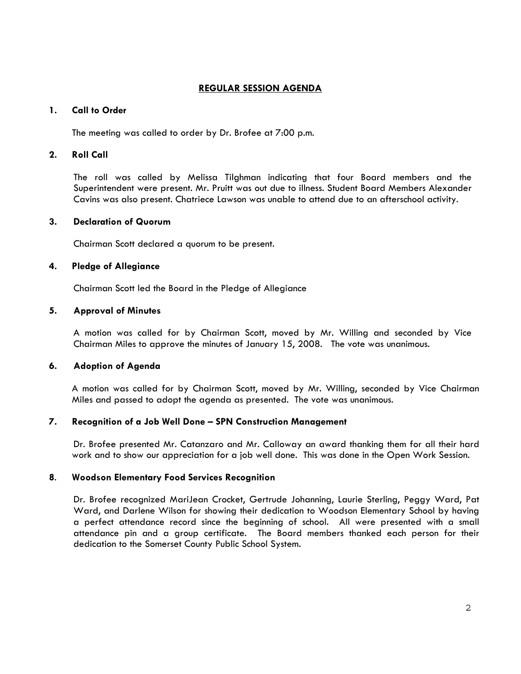# **REGULAR SESSION AGENDA**

#### **1. Call to Order**

The meeting was called to order by Dr. Brofee at 7:00 p.m.

# **2. Roll Call**

The roll was called by Melissa Tilghman indicating that four Board members and the Superintendent were present. Mr. Pruitt was out due to illness. Student Board Members Alexander Cavins was also present. Chatriece Lawson was unable to attend due to an afterschool activity.

#### **3. Declaration of Quorum**

Chairman Scott declared a quorum to be present.

### **4. Pledge of Allegiance**

Chairman Scott led the Board in the Pledge of Allegiance

#### **5. Approval of Minutes**

A motion was called for by Chairman Scott, moved by Mr. Willing and seconded by Vice Chairman Miles to approve the minutes of January 15, 2008. The vote was unanimous.

### **6. Adoption of Agenda**

 A motion was called for by Chairman Scott, moved by Mr. Willing, seconded by Vice Chairman Miles and passed to adopt the agenda as presented. The vote was unanimous.

### **7. Recognition of a Job Well Done – SPN Construction Management**

 Dr. Brofee presented Mr. Catanzaro and Mr. Calloway an award thanking them for all their hard work and to show our appreciation for a job well done. This was done in the Open Work Session.

### **8**. **Woodson Elementary Food Services Recognition**

 Dr. Brofee recognized MariJean Crocket, Gertrude Johanning, Laurie Sterling, Peggy Ward, Pat Ward, and Darlene Wilson for showing their dedication to Woodson Elementary School by having a perfect attendance record since the beginning of school. All were presented with a small attendance pin and a group certificate. The Board members thanked each person for their dedication to the Somerset County Public School System.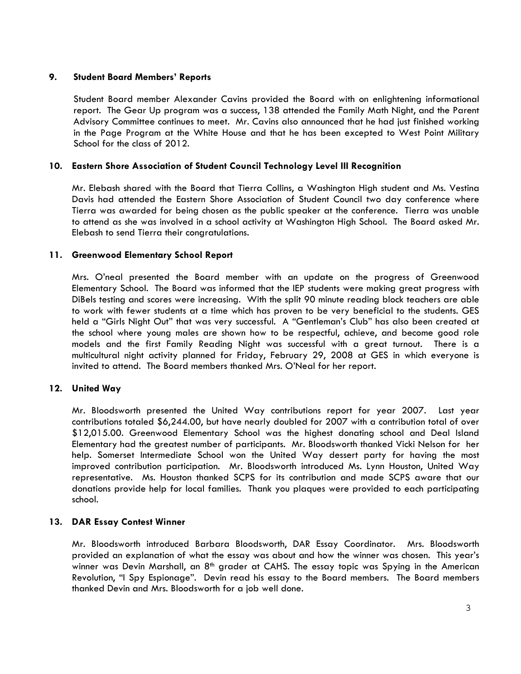## **9. Student Board Members' Reports**

 Student Board member Alexander Cavins provided the Board with on enlightening informational report. The Gear Up program was a success, 138 attended the Family Math Night, and the Parent Advisory Committee continues to meet. Mr. Cavins also announced that he had just finished working in the Page Program at the White House and that he has been excepted to West Point Military School for the class of 2012.

## **10. Eastern Shore Association of Student Council Technology Level III Recognition**

Mr. Elebash shared with the Board that Tierra Collins, a Washington High student and Ms. Vestina Davis had attended the Eastern Shore Association of Student Council two day conference where Tierra was awarded for being chosen as the public speaker at the conference. Tierra was unable to attend as she was involved in a school activity at Washington High School. The Board asked Mr. Elebash to send Tierra their congratulations.

## **11. Greenwood Elementary School Report**

Mrs. O'neal presented the Board member with an update on the progress of Greenwood Elementary School. The Board was informed that the IEP students were making great progress with DiBels testing and scores were increasing. With the split 90 minute reading block teachers are able to work with fewer students at a time which has proven to be very beneficial to the students. GES held a "Girls Night Out" that was very successful. A "Gentleman's Club" has also been created at the school where young males are shown how to be respectful, achieve, and become good role models and the first Family Reading Night was successful with a great turnout. There is a multicultural night activity planned for Friday, February 29, 2008 at GES in which everyone is invited to attend. The Board members thanked Mrs. O'Neal for her report.

# **12. United Way**

Mr. Bloodsworth presented the United Way contributions report for year 2007. Last year contributions totaled \$6,244.00, but have nearly doubled for 2007 with a contribution total of over \$12,015.00. Greenwood Elementary School was the highest donating school and Deal Island Elementary had the greatest number of participants. Mr. Bloodsworth thanked Vicki Nelson for her help. Somerset Intermediate School won the United Way dessert party for having the most improved contribution participation. Mr. Bloodsworth introduced Ms. Lynn Houston, United Way representative. Ms. Houston thanked SCPS for its contribution and made SCPS aware that our donations provide help for local families. Thank you plaques were provided to each participating school.

### **13. DAR Essay Contest Winner**

Mr. Bloodsworth introduced Barbara Bloodsworth, DAR Essay Coordinator. Mrs. Bloodsworth provided an explanation of what the essay was about and how the winner was chosen. This year's winner was Devin Marshall, an  $8<sup>th</sup>$  grader at CAHS. The essay topic was Spying in the American Revolution, "I Spy Espionage". Devin read his essay to the Board members. The Board members thanked Devin and Mrs. Bloodsworth for a job well done.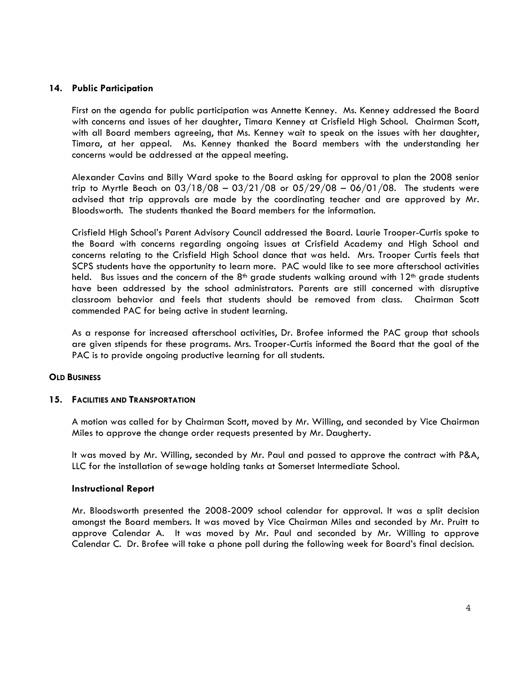# **14. Public Participation**

First on the agenda for public participation was Annette Kenney. Ms. Kenney addressed the Board with concerns and issues of her daughter, Timara Kenney at Crisfield High School. Chairman Scott, with all Board members agreeing, that Ms. Kenney wait to speak on the issues with her daughter, Timara, at her appeal. Ms. Kenney thanked the Board members with the understanding her concerns would be addressed at the appeal meeting.

Alexander Cavins and Billy Ward spoke to the Board asking for approval to plan the 2008 senior trip to Myrtle Beach on  $03/18/08 - 03/21/08$  or  $05/29/08 - 06/01/08$ . The students were advised that trip approvals are made by the coordinating teacher and are approved by Mr. Bloodsworth. The students thanked the Board members for the information.

Crisfield High School's Parent Advisory Council addressed the Board. Laurie Trooper-Curtis spoke to the Board with concerns regarding ongoing issues at Crisfield Academy and High School and concerns relating to the Crisfield High School dance that was held. Mrs. Trooper Curtis feels that SCPS students have the opportunity to learn more. PAC would like to see more afterschool activities held. Bus issues and the concern of the  $8<sup>th</sup>$  grade students walking around with  $12<sup>th</sup>$  grade students have been addressed by the school administrators. Parents are still concerned with disruptive classroom behavior and feels that students should be removed from class. Chairman Scott commended PAC for being active in student learning.

As a response for increased afterschool activities, Dr. Brofee informed the PAC group that schools are given stipends for these programs. Mrs. Trooper-Curtis informed the Board that the goal of the PAC is to provide ongoing productive learning for all students.

### **OLD BUSINESS**

### **15. FACILITIES AND TRANSPORTATION**

A motion was called for by Chairman Scott, moved by Mr. Willing, and seconded by Vice Chairman Miles to approve the change order requests presented by Mr. Daugherty.

It was moved by Mr. Willing, seconded by Mr. Paul and passed to approve the contract with P&A, LLC for the installation of sewage holding tanks at Somerset Intermediate School.

### **Instructional Report**

Mr. Bloodsworth presented the 2008-2009 school calendar for approval. It was a split decision amongst the Board members. It was moved by Vice Chairman Miles and seconded by Mr. Pruitt to approve Calendar A. It was moved by Mr. Paul and seconded by Mr. Willing to approve Calendar C. Dr. Brofee will take a phone poll during the following week for Board's final decision.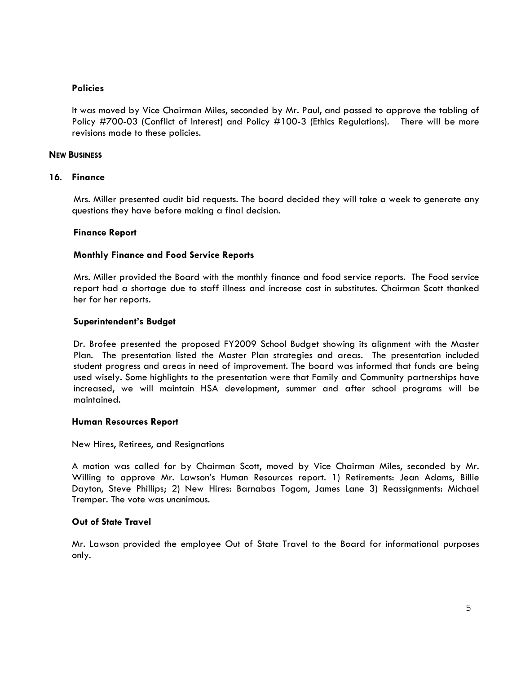### **Policies**

It was moved by Vice Chairman Miles, seconded by Mr. Paul, and passed to approve the tabling of Policy #700-03 (Conflict of Interest) and Policy #100-3 (Ethics Regulations). There will be more revisions made to these policies.

## **NEW BUSINESS**

### **16**. **Finance**

 Mrs. Miller presented audit bid requests. The board decided they will take a week to generate any questions they have before making a final decision.

### **Finance Report**

## **Monthly Finance and Food Service Reports**

Mrs. Miller provided the Board with the monthly finance and food service reports. The Food service report had a shortage due to staff illness and increase cost in substitutes. Chairman Scott thanked her for her reports.

## **Superintendent's Budget**

Dr. Brofee presented the proposed FY2009 School Budget showing its alignment with the Master Plan. The presentation listed the Master Plan strategies and areas. The presentation included student progress and areas in need of improvement. The board was informed that funds are being used wisely. Some highlights to the presentation were that Family and Community partnerships have increased, we will maintain HSA development, summer and after school programs will be maintained.

### **Human Resources Report**

New Hires, Retirees, and Resignations

A motion was called for by Chairman Scott, moved by Vice Chairman Miles, seconded by Mr. Willing to approve Mr. Lawson's Human Resources report. 1) Retirements: Jean Adams, Billie Dayton, Steve Phillips; 2) New Hires: Barnabas Togom, James Lane 3) Reassignments: Michael Tremper. The vote was unanimous.

# **Out of State Travel**

Mr. Lawson provided the employee Out of State Travel to the Board for informational purposes only.